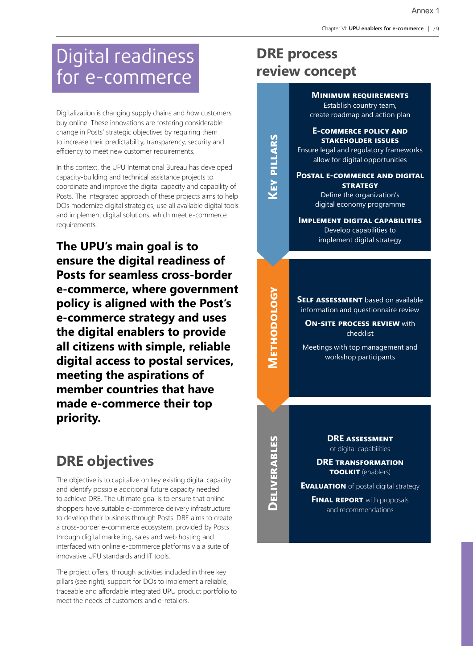# Digital readiness for e-commerce

Digitalization is changing supply chains and how customers buy online. These innovations are fostering considerable change in Posts' strategic objectives by requiring them to increase their predictability, transparency, security and efficiency to meet new customer requirements.

In this context, the UPU International Bureau has developed capacity-building and technical assistance projects to coordinate and improve the digital capacity and capability of Posts. The integrated approach of these projects aims to help DOs modernize digital strategies, use all available digital tools and implement digital solutions, which meet e-commerce requirements.

**The UPU's main goal is to ensure the digital readiness of Posts for seamless cross-border e-commerce, where government policy is aligned with the Post's e-commerce strategy and uses the digital enablers to provide all citizens with simple, reliable digital access to postal services, meeting the aspirations of member countries that have made e-commerce their top priority.**

## **DRE objectives**

The objective is to capitalize on key existing digital capacity and identify possible additional future capacity needed to achieve DRE. The ultimate goal is to ensure that online shoppers have suitable e-commerce delivery infrastructure to develop their business through Posts. DRE aims to create a cross-border e-commerce ecosystem, provided by Posts through digital marketing, sales and web hosting and interfaced with online e-commerce platforms via a suite of innovative UPU standards and IT tools.

The project offers, through activities included in three key pillars (see right), support for DOs to implement a reliable, traceable and affordable integrated UPU product portfolio to meet the needs of customers and e-retailers.

## **DRE process review concept**

**Key pillars**

**KEY PILLARS** 

**Methodology**

**METHODOLOGY** 

**Minimum requirements**  Establish country team,

create roadmap and action plan

### **E-commerce policy and stakeholder issues**

Ensure legal and regulatory frameworks allow for digital opportunities

**Postal e-commerce and digital strategy**

Define the organization's digital economy programme

**Implement digital capabilities** Develop capabilities to implement digital strategy

**SELF ASSESSMENT** based on available information and questionnaire review

**ON-SITE PROCESS REVIEW with** checklist

Meetings with top management and workshop participants

**DELIVERABLES Deliverables**

**DRE assessment** of digital capabilities

**DRE transformation toolkit** (enablers)

**Evaluation** of postal digital strategy

**FINAL REPORT** with proposals and recommendations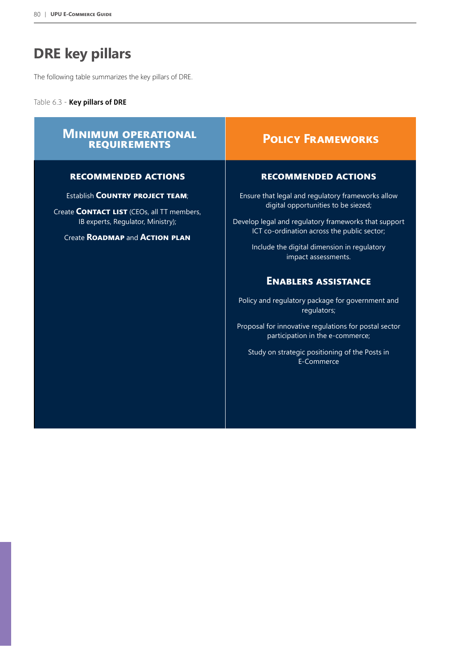# **DRE key pillars**

The following table summarizes the key pillars of DRE.

Table 6.3 - **Key pillars of DRE**

## **Minimum operational requirements Policy Frameworks Policy Frameworks**

### **recommended actions**

Establish **Country project team**;

Create **Contact list** (CEOs, all TT members, IB experts, Regulator, Ministry);

Create **Roadmap** and **Action plan**

### **recommended actions**

Ensure that legal and regulatory frameworks allow digital opportunities to be siezed;

Develop legal and regulatory frameworks that support ICT co-ordination across the public sector;

> Include the digital dimension in regulatory impact assessments.

## **Enablers assistance**

Policy and regulatory package for government and regulators;

Proposal for innovative regulations for postal sector participation in the e-commerce;

Study on strategic positioning of the Posts in E-Commerce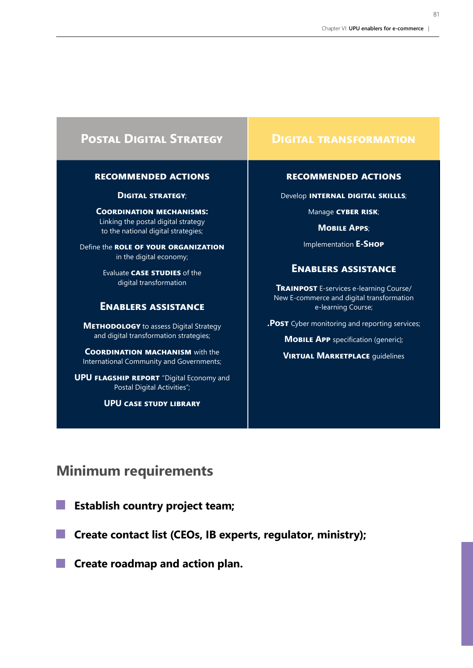## **POSTAL DIGITAL STRATEGY POSTAL TRANSFORMATION**

### **recommended actions**

**Digital strategy**;

**Coordination mechanisms:**  Linking the postal digital strategy to the national digital strategies;

Define the **role of your organization** in the digital economy;

> Evaluate **case studies** of the digital transformation

## **Enablers assistance**

**METHODOLOGY** to assess Digital Strategy and digital transformation strategies;

**COORDINATION MACHANISM** with the International Community and Governments;

**UPU FLAGSHIP REPORT** "Digital Economy and Postal Digital Activities";

**UPU case study library**

### **recommended actions**

Develop **internal digital skillls**;

Manage **cyber risk**;

**Mobile Apps**;

Implementation **E-Shop**

## **Enablers assistance**

**Trainpost** E-services e-learning Course/ New E-commerce and digital transformation e-learning Course;

**.Post** Cyber monitoring and reporting services;

**MOBILE APP** specification (generic);

**VIRTUAL MARKETPLACE** guidelines

## **Minimum requirements**

**Establish country project team;**

**Create contact list (CEOs, IB experts, regulator, ministry);** 

**Create roadmap and action plan.**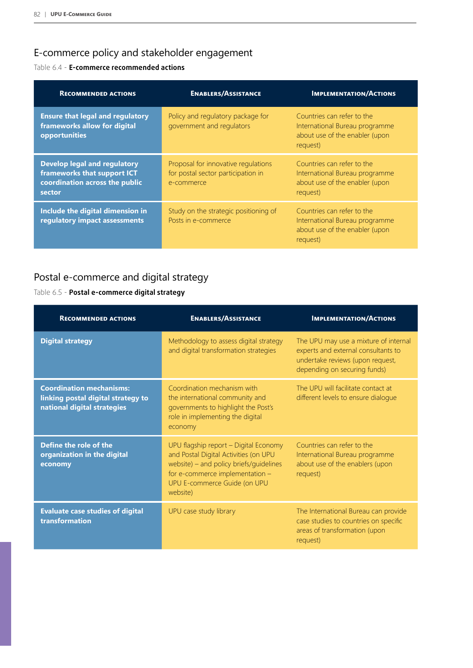## E-commerce policy and stakeholder engagement

## Table 6.4 - **E-commerce recommended actions**

| <b>RECOMMENDED ACTIONS</b>                                                                                     | <b>ENABLERS/ASSISTANCE</b>                                                              | <b>IMPLEMENTATION/ACTIONS</b>                                                                              |
|----------------------------------------------------------------------------------------------------------------|-----------------------------------------------------------------------------------------|------------------------------------------------------------------------------------------------------------|
| <b>Ensure that legal and regulatory</b><br>frameworks allow for digital<br>opportunities                       | Policy and regulatory package for<br>government and regulators                          | Countries can refer to the<br>International Bureau programme<br>about use of the enabler (upon<br>request) |
| <b>Develop legal and regulatory</b><br>frameworks that support ICT<br>coordination across the public<br>sector | Proposal for innovative regulations<br>for postal sector participation in<br>e-commerce | Countries can refer to the<br>International Bureau programme<br>about use of the enabler (upon<br>request) |
| Include the digital dimension in<br>regulatory impact assessments                                              | Study on the strategic positioning of<br>Posts in e-commerce                            | Countries can refer to the<br>International Bureau programme<br>about use of the enabler (upon<br>request) |

## Postal e-commerce and digital strategy

## Table 6.5 - **Postal e-commerce digital strategy**

| <b>RECOMMENDED ACTIONS</b>                                                                           | <b>ENABLERS/ASSISTANCE</b>                                                                                                                                                                               | <b>IMPLEMENTATION/ACTIONS</b>                                                                                                                    |
|------------------------------------------------------------------------------------------------------|----------------------------------------------------------------------------------------------------------------------------------------------------------------------------------------------------------|--------------------------------------------------------------------------------------------------------------------------------------------------|
| <b>Digital strategy</b>                                                                              | Methodology to assess digital strategy<br>and digital transformation strategies                                                                                                                          | The UPU may use a mixture of internal<br>experts and external consultants to<br>undertake reviews (upon request,<br>depending on securing funds) |
| <b>Coordination mechanisms:</b><br>linking postal digital strategy to<br>national digital strategies | Coordination mechanism with<br>the international community and<br>governments to highlight the Post's<br>role in implementing the digital<br>economy                                                     | The UPU will facilitate contact at<br>different levels to ensure dialogue                                                                        |
| Define the role of the<br>organization in the digital<br>economy                                     | UPU flagship report - Digital Economy<br>and Postal Digital Activities (on UPU<br>website) – and policy briefs/guidelines<br>for e-commerce implementation -<br>UPU E-commerce Guide (on UPU<br>website) | Countries can refer to the<br>International Bureau programme<br>about use of the enablers (upon<br>request)                                      |
| <b>Evaluate case studies of digital</b><br>transformation                                            | UPU case study library                                                                                                                                                                                   | The International Bureau can provide<br>case studies to countries on specific<br>areas of transformation (upon<br>request)                       |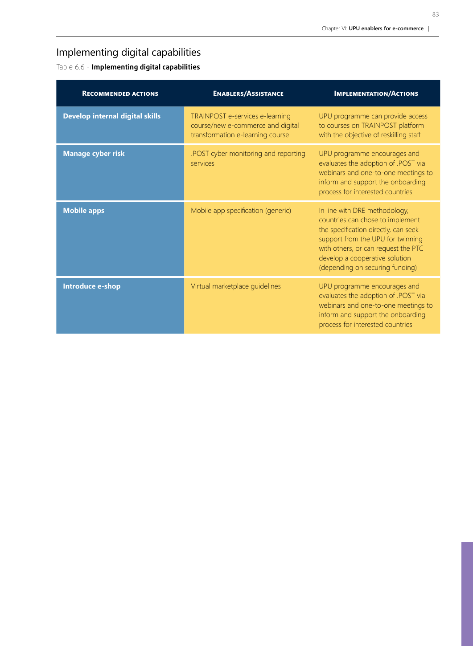## Implementing digital capabilities

Table 6.6 - **Implementing digital capabilities** 

| <b>RECOMMENDED ACTIONS</b>             | <b>ENABLERS/ASSISTANCE</b>                                                                               | <b>IMPLEMENTATION/ACTIONS</b>                                                                                                                                                                                                                              |
|----------------------------------------|----------------------------------------------------------------------------------------------------------|------------------------------------------------------------------------------------------------------------------------------------------------------------------------------------------------------------------------------------------------------------|
| <b>Develop internal digital skills</b> | TRAINPOST e-services e-learning<br>course/new e-commerce and digital<br>transformation e-learning course | UPU programme can provide access<br>to courses on TRAINPOST platform<br>with the objective of reskilling staff                                                                                                                                             |
| <b>Manage cyber risk</b>               | .POST cyber monitoring and reporting<br>services                                                         | UPU programme encourages and<br>evaluates the adoption of .POST via<br>webinars and one-to-one meetings to<br>inform and support the onboarding<br>process for interested countries                                                                        |
| <b>Mobile apps</b>                     | Mobile app specification (generic)                                                                       | In line with DRE methodology,<br>countries can chose to implement<br>the specification directly, can seek<br>support from the UPU for twinning<br>with others, or can request the PTC<br>develop a cooperative solution<br>(depending on securing funding) |
| Introduce e-shop                       | Virtual marketplace guidelines                                                                           | UPU programme encourages and<br>evaluates the adoption of .POST via<br>webinars and one-to-one meetings to<br>inform and support the onboarding<br>process for interested countries                                                                        |